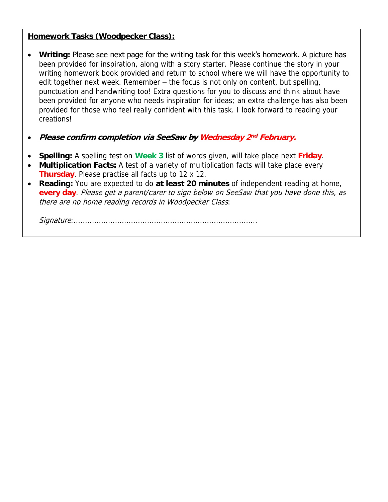### **Homework Tasks (Woodpecker Class):**

- **Writing:** Please see next page for the writing task for this week's homework. A picture has been provided for inspiration, along with a story starter. Please continue the story in your writing homework book provided and return to school where we will have the opportunity to edit together next week. Remember – the focus is not only on content, but spelling, punctuation and handwriting too! Extra questions for you to discuss and think about have been provided for anyone who needs inspiration for ideas; an extra challenge has also been provided for those who feel really confident with this task. I look forward to reading your creations!
- **Please confirm completion via SeeSaw by Wednesday 2 nd February.**
- **Spelling:** A spelling test on **Week 3** list of words given, will take place next **Friday**.
- **Multiplication Facts:** A test of a variety of multiplication facts will take place every **Thursday**. Please practise all facts up to 12 x 12.
- **Reading:** You are expected to do **at least 20 minutes** of independent reading at home, **every day**. Please get a parent/carer to sign below on SeeSaw that you have done this, as there are no home reading records in Woodpecker Class:

Signature:................................................................................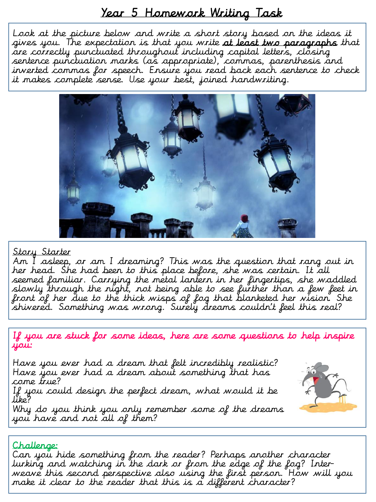## Year 5 Homework Writing Task

Look at the picture below and write a short story based on the ideas it gives you. The expectation is that you write at least two paragraphs that are correctly punctuated throughout including capital letters, closing sentence punctuation marks (as appropriate), commas, parenthesis and inverted commas for speech. Ensure you read back each sentence to check it makes complete sense. Use your best, joined handwriting.



#### <u>Story Starter</u>

Am I asleep, or am I dreaming? This was the question that rang out in her head. She had been to this place before, she was certain. It all seemed familiar. Carrying the metal lantern in her fingertips, she waddled slowly through the night, not being able to see further than a few feet in front of her due to the thick wisps of fog that blanketed her vision. She shivered. Something was wrong. Surely dreams couldn't feel this real?

If you are stuck for some ideas, here are some questions to help inspire you:

Have you ever had a dream that felt incredibly realistic? Have you ever had a dream about something that has come true?

If you could design the perfect dream, what would it be like?

Why do you think you only remember some of the dreams you have and not all of them?



Can you hide something from the reader? Perhaps another character lurking and watching in the dark or from the edge of the fog? Interweave this second perspective also using the first person. How will you make it clear to the reader that this is a different character?